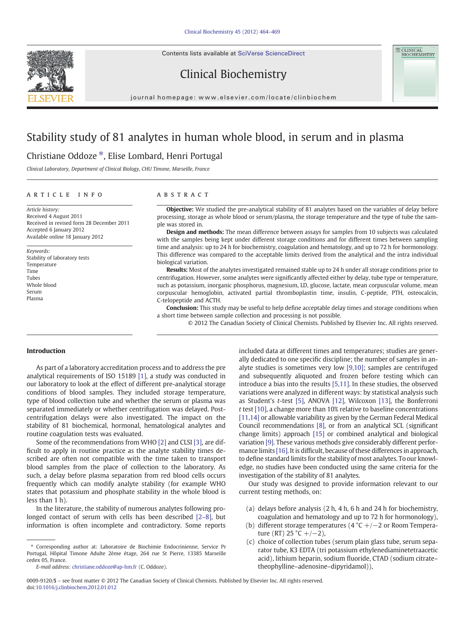Contents lists available at SciVerse ScienceDirect





# Clinical Biochemistry

journal homepage: www.elsevier.com/locate/clinbiochem

# Stability study of 81 analytes in human whole blood, in serum and in plasma

## Christiane Oddoze ⁎, Elise Lombard, Henri Portugal

Clinical Laboratory, Department of Clinical Biology, CHU Timone, Marseille, France

#### article info abstract

Article history: Received 4 August 2011 Received in revised form 28 December 2011 Accepted 6 January 2012 Available online 18 January 2012

Keywords: Stability of laboratory tests Temperature Time Tubes Whole blood Serum Plasma

**Objective:** We studied the pre-analytical stability of 81 analytes based on the variables of delay before processing, storage as whole blood or serum/plasma, the storage temperature and the type of tube the sample was stored in.

Design and methods: The mean difference between assays for samples from 10 subjects was calculated with the samples being kept under different storage conditions and for different times between sampling time and analysis: up to 24 h for biochemistry, coagulation and hematology, and up to 72 h for hormonology. This difference was compared to the acceptable limits derived from the analytical and the intra individual biological variation.

Results: Most of the analytes investigated remained stable up to 24 h under all storage conditions prior to centrifugation. However, some analytes were significantly affected either by delay, tube type or temperature, such as potassium, inorganic phosphorus, magnesium, LD, glucose, lactate, mean corpuscular volume, mean corpuscular hemoglobin, activated partial thromboplastin time, insulin, C-peptide, PTH, osteocalcin, C-telopeptide and ACTH.

Conclusion: This study may be useful to help define acceptable delay times and storage conditions when a short time between sample collection and processing is not possible.

© 2012 The Canadian Society of Clinical Chemists. Published by Elsevier Inc. All rights reserved.

#### Introduction

As part of a laboratory accreditation process and to address the pre analytical requirements of ISO 15189 [\[1\],](#page-5-0) a study was conducted in our laboratory to look at the effect of different pre-analytical storage conditions of blood samples. They included storage temperature, type of blood collection tube and whether the serum or plasma was separated immediately or whether centrifugation was delayed. Postcentrifugation delays were also investigated. The impact on the stability of 81 biochemical, hormonal, hematological analytes and routine coagulation tests was evaluated.

Some of the recommendations from WHO [\[2\]](#page-5-0) and CLSI [\[3\],](#page-5-0) are difficult to apply in routine practice as the analyte stability times described are often not compatible with the time taken to transport blood samples from the place of collection to the laboratory. As such, a delay before plasma separation from red blood cells occurs frequently which can modify analyte stability (for example WHO states that potassium and phosphate stability in the whole blood is less than 1 h).

In the literature, the stability of numerous analytes following prolonged contact of serum with cells has been described [2–[8\],](#page-5-0) but information is often incomplete and contradictory. Some reports

E-mail address: [christiane.oddoze@ap-hm.fr](mailto:christiane.oddoze@ap-hm.fr) (C. Oddoze).

included data at different times and temperatures; studies are generally dedicated to one specific discipline; the number of samples in analyte studies is sometimes very low [\[9,10\];](#page-5-0) samples are centrifuged and subsequently aliquoted and frozen before testing which can introduce a bias into the results [\[5,11\].](#page-5-0) In these studies, the observed variations were analyzed in different ways: by statistical analysis such as Student's t-test [\[5\]](#page-5-0), ANOVA [\[12\]](#page-5-0), Wilcoxon [\[13\]](#page-5-0), the Bonferroni t test [\[10\]](#page-5-0), a change more than 10% relative to baseline concentrations [\[11,14\]](#page-5-0) or allowable variability as given by the German Federal Medical Council recommendations [\[8\],](#page-5-0) or from an analytical SCL (significant change limits) approach [\[15\]](#page-5-0) or combined analytical and biological variation [\[9\]](#page-5-0). These various methods give considerably different perfor-mance limits [\[16\].](#page-5-0) It is difficult, because of these differences in approach, to define standard limits for the stability of most analytes. To our knowledge, no studies have been conducted using the same criteria for the investigation of the stability of 81 analytes.

Our study was designed to provide information relevant to our current testing methods, on:

- (a) delays before analysis (2 h, 4 h, 6 h and 24 h for biochemistry, coagulation and hematology and up to 72 h for hormonology),
- (b) different storage temperatures (4  $°C +/-2$  or Room Temperature (RT) 25 °C +/-2),
- (c) choice of collection tubes (serum plain glass tube, serum separator tube, K3 EDTA (tri potassium ethylenediaminetetraacetic acid), lithium heparin, sodium fluoride, CTAD (sodium citrate– theophylline–adenosine–dipyridamol)),

<sup>⁎</sup> Corresponding author at: Laboratoire de Biochimie Endocrinienne, Service Pr Portugal, Hôpital Timone Adulte 2ème étage, 264 rue St Pierre, 13385 Marseille cedex 05, France.

<sup>0009-9120/\$</sup> – see front matter © 2012 The Canadian Society of Clinical Chemists. Published by Elsevier Inc. All rights reserved. doi[:10.1016/j.clinbiochem.2012.01.012](http://dx.doi.org/10.1016/j.clinbiochem.2012.01.012)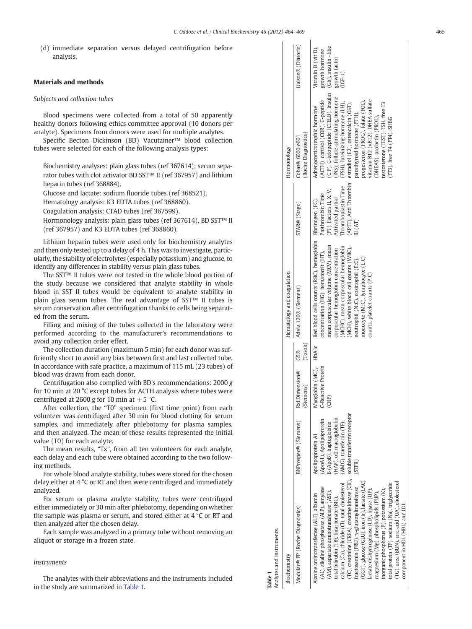(d) immediate separation versus delayed centrifugation before analysis.

#### Materials and methods

#### Subjects and collection tubes

Blood specimens were collected from a total of 50 apparently healthy donors following ethics committee approval (10 donors per analyte). Specimens from donors were used for multiple analytes.

Specific Becton Dickinson (BD) Vacutainer™ blood collection tubes were selected for each of the following analysis types:

Biochemistry analyses: plain glass tubes (ref 367614); serum separator tubes with clot activator BD SST™ II (ref 367957) and lithium heparin tubes (ref 368884).

Glucose and lactate: sodium fluoride tubes (ref 368521).

Hematology analysis: K3 EDTA tubes (ref 368860).

Coagulation analysis: CTAD tubes (ref 367599).

Hormonology analysis: plain glass tubes (ref 367614), BD SST™ II (ref 367957) and K3 EDTA tubes (ref 368860).

Lithium heparin tubes were used only for biochemistry analytes and then only tested up to a delay of 4 h. This was to investigate, particularly, the stability of electrolytes (especially potassium) and glucose, to identify any differences in stability versus plain glass tubes.

The SST™ II tubes were not tested in the whole blood portion of the study because we considered that analyte stability in whole blood in SST II tubes would be equivalent to analyte stability in plain glass serum tubes. The real advantage of SST™ II tubes is serum conservation after centrifugation thanks to cells being separated from the serum.

Filling and mixing of the tubes collected in the laboratory were performed according to the manufacturer's recommendations to avoid any collection order effect.

The collection duration (maximum 5 min) for each donor was sufficiently short to avoid any bias between first and last collected tube. In accordance with safe practice, a maximum of 115 mL (23 tubes) of blood was drawn from each donor.

Centrifugation also complied with BD's recommendations: 2000 g for 10 min at 20 °C except tubes for ACTH analysis where tubes were centrifuged at 2600 g for 10 min at  $+5$  °C.

After collection, the "T0" specimen (first time point) from each volunteer was centrifuged after 30 min for blood clotting for serum samples, and immediately after phlebotomy for plasma samples, and then analyzed. The mean of these results represented the initial value (T0) for each analyte.

The mean results, "Tx", from all ten volunteers for each analyte, each delay and each tube were obtained according to the two following methods.

For whole blood analyte stability, tubes were stored for the chosen delay either at 4 °C or RT and then were centrifuged and immediately analyzed.

For serum or plasma analyte stability, tubes were centrifuged either immediately or 30 min after phlebotomy, depending on whether the sample was plasma or serum, and stored either at 4 °C or RT and then analyzed after the chosen delay.

Each sample was analyzed in a primary tube without removing an aliquot or storage in a frozen state.

### Instruments

The analytes with their abbreviations and the instruments included in the study are summarized in Table 1.

| Analytes and instruments.<br>Table 1                                                                                                                                                                                                                                                                                                                                                                                                                                                                                                                                                                                                              |                                                                                                                                                                      |                                                     |                 |                                                                                                                                                                                                                                                                                                                                                                             |                                                                                                                            |                                                                                                                                                                                                                                                                                                                                                                                                                                             |                                                                                            |
|---------------------------------------------------------------------------------------------------------------------------------------------------------------------------------------------------------------------------------------------------------------------------------------------------------------------------------------------------------------------------------------------------------------------------------------------------------------------------------------------------------------------------------------------------------------------------------------------------------------------------------------------------|----------------------------------------------------------------------------------------------------------------------------------------------------------------------|-----------------------------------------------------|-----------------|-----------------------------------------------------------------------------------------------------------------------------------------------------------------------------------------------------------------------------------------------------------------------------------------------------------------------------------------------------------------------------|----------------------------------------------------------------------------------------------------------------------------|---------------------------------------------------------------------------------------------------------------------------------------------------------------------------------------------------------------------------------------------------------------------------------------------------------------------------------------------------------------------------------------------------------------------------------------------|--------------------------------------------------------------------------------------------|
| Biochemistry                                                                                                                                                                                                                                                                                                                                                                                                                                                                                                                                                                                                                                      |                                                                                                                                                                      |                                                     |                 | Hematology and coagulation                                                                                                                                                                                                                                                                                                                                                  |                                                                                                                            | Hormonology                                                                                                                                                                                                                                                                                                                                                                                                                                 |                                                                                            |
| Modular® PP (Roche Diagnostics)                                                                                                                                                                                                                                                                                                                                                                                                                                                                                                                                                                                                                   | BNProspec® (Siemens)                                                                                                                                                 | <b>RxLDimension®</b><br>(Siemens)                   | (Tosoth)<br>G5@ | Advia 120® (Siemens)                                                                                                                                                                                                                                                                                                                                                        | STAR® (Stago)                                                                                                              | (Roche Diagnostics)<br>Cobas® 6000 e601                                                                                                                                                                                                                                                                                                                                                                                                     | Liaison® (Diasorin)                                                                        |
| (TC), creatinine (CREA), creatine kinase (CK),<br>GGT), glucose (GLU), iron (Ir), lactate (LAC),<br>(TG), urea (BUN), uric acid (UA), cholesterol<br>total protein (TP), sodium (Na), triglyceride<br>calcium (Ca), chloride (Cl), total cholesterol<br>(AL), alkaline phosphatase (ALP), amylase<br>ructosamin (FRU), y-glutamyltransferase<br>lactate déshydrogénase (LD), lipase (LIP),<br>inorganic phosphorus (P), potassium (K),<br>AM), aspartate aminotransferase (AST),<br>magnesium (Mg), phospholipids (PLIP),<br>danine aminotransferase (ALT), albumin<br>total bilirubin (TB), bicarbonate (BIC),<br>component in HDL (HDL) and LDL | soluble transferrin receptor<br>HAP), o2 macroglobulin<br>(ApoA1), Apolipoprotein<br>AMG), transferrin (TF),<br>6 (ApoB), haptoglobine<br>Apolipoprotein A1<br>STFR) | Myoglobin (MG), HbA1c<br>C-Reactive Protein<br>CRP) |                 | Red blood cells counts (RBC), hemoglobin Fibrinogen (FG),<br>mean corpuscular volume (MCV), mean<br>MCHC), mean corpuscular hemoglobin<br>(MCH), white blood cell counts (WBC),<br>corpuscular hemoglobin concentration<br>concentration (HG), hematocrit (HT),<br>monocyte (M:C), lymphocyte (L:C)<br>neutrophil (N:C), eosinophil (E:C),<br>counts, platelet counts (P:C) | (APIT), Anti Thrombin<br>Thromboplastin Time<br>(PT), Factors II, X, V,<br>Prothrombin Time<br>Activated partial<br>I (AT) | (C P), C-telopeptide (CTELO), Insulin<br>(INS), follicle-stimulating hormone<br>(ACTH), cortisol (COR), C-peptide<br>vitamin B12 (vB12), DHEA sulfate<br>progesteron (PROG), folate (FOL),<br>(FSH), luteinizing hormone (LH),<br>estradiol (E2), osteocalcin (OST),<br>testosterone (TEST), TSH, free T3<br>Adrenocorticotrophic hormone<br>parathyroid hormone (PTH),<br>(DHEAS), prolactin (PROL),<br>$(F13)$ , free $T4$ $(F14)$ , SHBG | (Gh), insulin -like<br>Vitamin D (vit D),<br>growth hormone<br>growth factor<br>$(IGF-1).$ |

 $\mathbf{I}$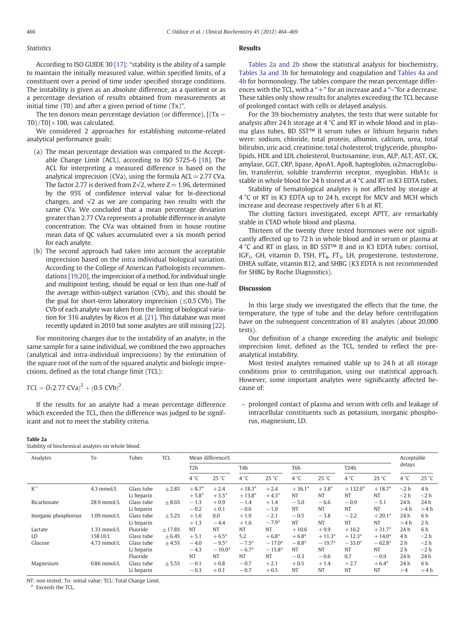#### **Statistics**

According to ISO GUIDE 30 [\[17\]:](#page-5-0) "stability is the ability of a sample to maintain the initially measured value, within specified limits, of a constituent over a period of time under specified storage conditions. The instability is given as an absolute difference, as a quotient or as a percentage deviation of results obtained from measurements at initial time (T0) and after a given period of time (Tx)".

The ten donors mean percentage deviation (or difference), [(Tx− T0)/T0] $\times$ 100, was calculated.

We considered 2 approaches for establishing outcome-related analytical performance goals:

- (a) The mean percentage deviation was compared to the Acceptable Change Limit (ACL), according to ISO 5725-6 [\[18\].](#page-5-0) The ACL for interpreting a measured difference is based on the analytical imprecision (CVa), using the formula  $ACL = 2.77$  CVa. The factor 2.77 is derived from  $Z\sqrt{2}$ , where  $Z=1.96$ , determined by the 95% of confidence interval value for bi-directional changes, and  $\sqrt{2}$  as we are comparing two results with the same CVa. We concluded that a mean percentage deviation greater than 2.77 CVa represents a probable difference in analyte concentration. The CVa was obtained from in house routine mean data of QC values accumulated over a six month period for each analyte.
- (b) The second approach had taken into account the acceptable imprecision based on the intra individual biological variation. According to the College of American Pathologists recommendations [\[19,20\],](#page-5-0) the imprecision of a method, for individual single and multipoint testing, should be equal or less than one-half of the average within-subject variation (CVb), and this should be the goal for short-term laboratory imprecision ( $\leq 0.5$  CVb). The CVb of each analyte was taken from the listing of biological variation for 316 analytes by Ricos et al. [\[21\]](#page-5-0). This database was most recently updated in 2010 but some analytes are still missing [\[22\].](#page-5-0)

For monitoring changes due to the instability of an analyte, in the same sample for a same individual, we combined the two approaches (analytical and intra-individual imprecisions) by the estimation of the square root of the sum of the squared analytic and biologic imprecisions, defined as the total change limit (TCL):

 $TCL = \ddot{O}(2.77 \text{ CVa})^2 + (0.5 \text{ CVb})^2$ .

If the results for an analyte had a mean percentage difference which exceeded the TCL, then the difference was judged to be significant and not to meet the stability criteria.

#### Table 2a

Stability of biochemical analytes on whole blood.

#### Results

Tables 2a and 2b show the statistical analysis for biochemistry, [Tables](#page-3-0) 3a and 3b for hematology and coagulation and [Tables](#page-4-0) 4a and [4b](#page-4-0) for hormonology. The tables compare the mean percentage differences with the TCL, with a " $+$ " for an increase and a " $-$ " for a decrease. These tables only show results for analytes exceeding the TCL because of prolonged contact with cells or delayed analysis.

For the 39 biochemistry analytes, the tests that were suitable for analysis after 24 h storage at 4 °C and RT in whole blood and in plasma glass tubes, BD SST™ II serum tubes or lithium heparin tubes were: sodium, chloride, total protein, albumin, calcium, urea, total bilirubin, uric acid, creatinine, total cholesterol, triglyceride, phospholipids, HDL and LDL cholesterol, fructosamine, iron, ALP, ALT, AST, CK, amylase, GGT, CRP, lipase, ApoA1, ApoB, haptoglobin, α2macroglobulin, transferrin, soluble transferrin receptor, myoglobin. HbA1c is stable in whole blood for 24 h stored at 4 °C and RT in K3 EDTA tubes.

Stability of hematological analytes is not affected by storage at 4 °C or RT in K3 EDTA up to 24 h, except for MCV and MCH which increase and decrease respectively after 6 h at RT.

The clotting factors investigated, except APTT, are remarkably stable in CTAD whole blood and plasma.

Thirteen of the twenty three tested hormones were not significantly affected up to 72 h in whole blood and in serum or plasma at 4 °C and RT in glass, in BD SST™ II and in K3 EDTA tubes: cortisol, IGF<sub>1</sub>, GH, vitamin D, TSH, FT<sub>4</sub>, FT<sub>3</sub>, LH, progesterone, testosterone, DHEA sulfate, vitamin B12, and SHBG (K3 EDTA is not recommended for SHBG by Roche Diagnostics).

#### Discussion

In this large study we investigated the effects that the time, the temperature, the type of tube and the delay before centrifugation have on the subsequent concentration of 81 analytes (about 20,000 tests).

Our definition of a change exceeding the analytic and biologic imprecision limit, defined as the TCL, tended to reflect the preanalytical instability.

Most tested analytes remained stable up to 24 h at all storage conditions prior to centrifugation, using our statistical approach. However, some important analytes were significantly affected because of:

– prolonged contact of plasma and serum with cells and leakage of intracellular constituents such as potassium, inorganic phosphorus, magnesium, LD.

| Analytes              | To            | Tubes      | <b>TCL</b> |                  | Mean difference% |                  |                |                 |            |                   |                 | Acceptable     |                |
|-----------------------|---------------|------------|------------|------------------|------------------|------------------|----------------|-----------------|------------|-------------------|-----------------|----------------|----------------|
|                       |               |            |            | T <sub>2</sub> h |                  | T <sub>4</sub> h |                | T6h             |            | T <sub>24</sub> h |                 | delays         |                |
|                       |               |            |            | 4 °C             | 25 °C            | $4^{\circ}C$     | 25 °C          | $4^{\circ}$ C   | 25 °C      | $4^{\circ}$ C     | 25 °C           | $4^{\circ}C$   | 25 °C          |
| $K^+$                 | $4.3$ mmol/L  | Glass tube | $+2.8%$    | $+8.7^{a}$       | $+2.4$           | $+18.3^{a}$      | $+2.4$         | $+36.1^{\circ}$ | $+3.8^{a}$ | $+132.0^{\circ}$  | $+18.7a$        | $<$ 2 h        | 4 <sub>h</sub> |
|                       |               | Li heparin |            | $+5.8^{a}$       | $+3.5^{\circ}$   | $+13.8^{a}$      | $+4.3^{\circ}$ | <b>NT</b>       | <b>NT</b>  | <b>NT</b>         | <b>NT</b>       | $<$ 2 h        | $<$ 2 h        |
| Bicarbonate           | 28.9 mmol/L   | Glass tube | $\pm 8.6%$ | $-1.3$           | $+0.9$           | $-1.4$           | $+1.4$         | $-5.0$          | $-6.6$     | $-0.9$            | $-5.1$          | 24 h           | 24 h           |
|                       |               | Li heparin |            | $-0.2$           | $+0.1$           | $-0.6$           | $-1.0$         | <b>NT</b>       | <b>NT</b>  | <b>NT</b>         | <b>NT</b>       | >4 h           | >4 h           |
| Inorganic phosphorous | $1.09$ mmol/L | Glass tube | $+5.2%$    | $+1.6$           | 0.0              | $+1.9$           | $-2.1$         | $-0.5$          | $-3.8$     | $-2.2$            | $+20.1^{\rm a}$ | 24 h           | 6 <sub>h</sub> |
|                       |               | Li heparin |            | $+1.3$           | $-4.4$           | $+1.6$           | $-7.9^{\rm a}$ | <b>NT</b>       | <b>NT</b>  | <b>NT</b>         | NT              | >4 h           | 2 <sub>h</sub> |
| Lactate               | $1.33$ mmol/L | Fluoride   | $+17.8%$   | <b>NT</b>        | <b>NT</b>        | <b>NT</b>        | <b>NT</b>      | $+10.6$         | $+9.9$     | $+16.2$           | $+31.7a$        | 24h            | 6 <sub>h</sub> |
| LD                    | 158 UI/L      | Glass tube | $\pm 6.4%$ | $+5.1$           | $+6.5^{\circ}$   | 5.2              | $+6.8^{a}$     | $+6.8^{a}$      | $+11.3a$   | $+12.3^{\rm a}$   | $+14.0^{\rm a}$ | 4 h            | $<$ 2 h        |
| Glucose               | $4.73$ mmol/L | Glass tube | $+4.5%$    | $-4.0$           | $-9.5^{\rm a}$   | $-7.5^{\rm a}$   | $-17.0a$       | $-8.8^{a}$      | $-19.7a$   | $-33.0^{\rm a}$   | $-62.8a$        | 2 <sub>h</sub> | $<$ 2 h        |
|                       |               | Li heparin |            | $-4.3$           | $-10.0a$         | $-6.7a$          | $-15.8a$       | <b>NT</b>       | <b>NT</b>  | <b>NT</b>         | <b>NT</b>       | 2 <sub>h</sub> | $<$ 2 h        |
|                       |               | Fluoride   |            | <b>NT</b>        | <b>NT</b>        | <b>NT</b>        | <b>NT</b>      | $-0.3$          | $-0.6$     | 0.7               | $-0.9$          | 24 h           | 24 h           |
| Magnesium             | $0.86$ mmol/L | Glass tube | $\pm$ 5.5% | $-0.1$           | $+0.8$           | $-0.7$           | $+2.1$         | $+0.5$          | $+1.4$     | $+2.7$            | $+6.4^{\rm a}$  | 24 h           | 6 <sub>h</sub> |
|                       |               | Li heparin |            | $-0.3$           | $+0.1$           | $-0.7$           | $+0.5$         | <b>NT</b>       | <b>NT</b>  | NT                | <b>NT</b>       | >4             | >4 h           |

NT: non tested; To: initial value; TCL: Total Change Limit.

Exceeds the TCL.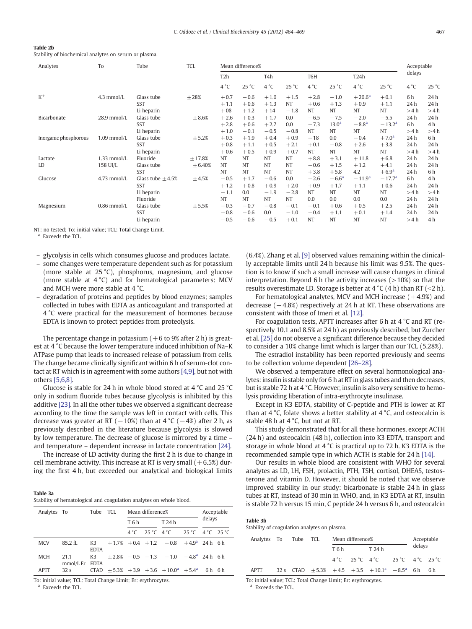<span id="page-3-0"></span>

| Table 2b                                              |  |
|-------------------------------------------------------|--|
| Stability of biochemical analytes on serum or plasma. |  |

| Analytes              | To            | Tube                   | <b>TCL</b> |                  | Mean difference% |               |           |           |                   |                   |                | Acceptable   |                |
|-----------------------|---------------|------------------------|------------|------------------|------------------|---------------|-----------|-----------|-------------------|-------------------|----------------|--------------|----------------|
|                       |               |                        |            | T <sub>2</sub> h |                  | T4h           |           | T6H       |                   | T <sub>24</sub> h |                | delays       |                |
|                       |               |                        |            | $4^{\circ}$ C    | 25 °C            | $4^{\circ}$ C | 25 °C     | 4 °C      | 25 °C             | $4^{\circ}C$      | 25 °C          | $4^{\circ}C$ | 25 °C          |
| $K^+$                 | 4.3 mmol/L    | Glass tube             | $\pm 28\%$ | $+0.7$           | $-0.6$           | $+1.0$        | $+1.5$    | $+2.8$    | $-1.0$            | $+20.6^{\rm a}$   | $+0.1$         | 6 h          | 24 h           |
|                       |               | <b>SST</b>             |            | $+1.1$           | $+0.6$           | $+1.3$        | <b>NT</b> | $+0.6$    | $+1.3$            | $+0.9$            | $+1.1$         | 24h          | 24 h           |
|                       |               | Li heparin             |            | $+08$            | $+1.2$           | $+14$         | $-1.8$    | <b>NT</b> | NT                | <b>NT</b>         | <b>NT</b>      | >4 h         | >4 h           |
| Bicarbonate           | 28.9 mmol/L   | Glass tube             | $\pm 8.6%$ | $+2.6$           | $+0.3$           | $+1.7$        | 0.0       | $-6.5$    | $-7.5$            | $-2.0$            | $-5.5$         | 24h          | 24 h           |
|                       |               | <b>SST</b>             |            | $+2.8$           | $+0.6$           | $+2.7$        | 0.0       | $-7.3$    | 13.0 <sup>a</sup> | $-8.8a$           | $-13.2a$       | 6 h          | 4 <sub>h</sub> |
|                       |               | Li heparin             |            | $+1.0$           | $-0.1$           | $-0.5$        | $-0.8$    | <b>NT</b> | <b>NT</b>         | <b>NT</b>         | NT             | >4 h         | >4 h           |
| Inorganic phosphorous | $1.09$ mmol/L | Glass tube             | $\pm$ 5.2% | $+0.3$           | $+1.9$           | $+0.4$        | $+0.9$    | $-18$     | 0.0               | $-0.4$            | $+7.0^{\rm a}$ | 24h          | 6h             |
|                       |               | <b>SST</b>             |            | $+0.8$           | $+1.1$           | $+0.5$        | $+2.1$    | $+0.1$    | $-0.8$            | $+2.6$            | $+3.8$         | 24h          | 24 h           |
|                       |               | Li heparin             |            | $+0.6$           | $+0.5$           | $+0.9$        | $+0.7$    | <b>NT</b> | NT                | <b>NT</b>         | <b>NT</b>      | >4 h         | >4 h           |
| Lactate               | $1.33$ mmol/L | Fluoride               | $+17.8%$   | <b>NT</b>        | <b>NT</b>        | <b>NT</b>     | <b>NT</b> | $+8.8$    | $+3.1$            | $+11.8$           | $+6.8$         | 24h          | 24 h           |
| LD                    | 158 UI/L      | Glass tube             | ± 6.40%    | <b>NT</b>        | <b>NT</b>        | <b>NT</b>     | <b>NT</b> | $-0.6$    | $+1.5$            | $+1.2$            | $+4.1$         | 24h          | 24 h           |
|                       |               | <b>SST</b>             |            | <b>NT</b>        | <b>NT</b>        | <b>NT</b>     | <b>NT</b> | $+3.8$    | $+5.8$            | 4.2               | $+6.9a$        | 24h          | 6h             |
| Glucose               | $4.73$ mmol/L | Glass tube $\pm 4.5\%$ | $\pm 4.5%$ | $-0.5$           | $+1.7$           | $-0.6$        | 0.0       | $-2.6$    | $-6.6a$           | $-11.9a$          | $-17.7a$       | 6 h          | 4 <sub>h</sub> |
|                       |               | <b>SST</b>             |            | $+1.2$           | $+0.8$           | $+0.9$        | $+2.0$    | $+0.9$    | $+1.7$            | $+1.1$            | $+0.6$         | 24 h         | 24 h           |
|                       |               | Li heparin             |            | $-1.1$           | 0.0              | $-1.9$        | $-2.8$    | <b>NT</b> | NT                | NT                | <b>NT</b>      | >4 h         | >4 h           |
|                       |               | Fluoride               |            | NT               | <b>NT</b>        | <b>NT</b>     | <b>NT</b> | 0.0       | 0.0               | 0.0               | 0.0            | 24h          | 24 h           |
| Magnesium             | $0.86$ mmol/L | Glass tube             | $\pm 5.5%$ | $-0.3$           | $-0.7$           | $-0.8$        | $-0.1$    | $-0.1$    | $+0.6$            | $+0.5$            | $+2.5$         | 24h          | 24 h           |
|                       |               | <b>SST</b>             |            | $-0.8$           | $-0.6$           | 0.0           | $-1.0$    | $-0.4$    | $+1.1$            | $+0.1$            | $+1.4$         | 24 h         | 24 h           |
|                       |               | Li heparin             |            | $-0.5$           | $-0.6$           | $-0.5$        | $+0.1$    | <b>NT</b> | NT                | <b>NT</b>         | <b>NT</b>      | >4 h         | 4 h            |

NT: no tested; To: initial value; TCL: Total Change Limit.

Exceeds the TCL.

– glycolysis in cells which consumes glucose and produces lactate.

- some changes were temperature dependent such as for potassium (more stable at 25 °C), phosphorus, magnesium, and glucose (more stable at 4 °C) and for hematological parameters: MCV and MCH were more stable at 4 °C.
- – degradation of proteins and peptides by blood enzymes; samples collected in tubes with EDTA as anticoagulant and transported at 4 °C were practical for the measurement of hormones because EDTA is known to protect peptides from proteolysis.

The percentage change in potassium  $(+6$  to 9% after 2 h) is greatest at 4 °C because the lower temperature induced inhibition of Na–K ATPase pump that leads to increased release of potassium from cells. The change became clinically significant within 6 h of serum-clot contact at RT which is in agreement with some authors [\[4,9\]](#page-5-0), but not with others [\[5,6,8\].](#page-5-0)

Glucose is stable for 24 h in whole blood stored at 4 °C and 25 °C only in sodium fluoride tubes because glycolysis is inhibited by this additive [\[23\].](#page-5-0) In all the other tubes we observed a significant decrease according to the time the sample was left in contact with cells. This decrease was greater at RT ( $-10\%$ ) than at 4 °C ( $-4\%$ ) after 2 h, as previously described in the literature because glycolysis is slowed by low temperature. The decrease of glucose is mirrored by a time – and temperature – dependent increase in lactate concentration [\[24\]](#page-5-0).

The increase of LD activity during the first 2 h is due to change in cell membrane activity. This increase at RT is very small  $(+6.5%)$  during the first 4 h, but exceeded our analytical and biological limits

#### Table 3a

| Analytes To |                   | Tube TCL          |       | Mean difference% |                                                      |        | Acceptable |
|-------------|-------------------|-------------------|-------|------------------|------------------------------------------------------|--------|------------|
|             |                   |                   | T 6 h |                  | T 24 h                                               | delays |            |
|             |                   |                   |       |                  | 4 °C 25 °C 4 °C 25 °C 4 °C 25 °C                     |        |            |
| <b>MCV</b>  | $85.2$ fl.        | K3<br><b>EDTA</b> |       |                  | $+1.7\% + 0.4 + 1.2 + 0.8 + 4.9\degree$ 24 h 6 h     |        |            |
| <b>MCH</b>  | 21.1<br>mmol/L Er | K3<br><b>EDTA</b> |       |                  | $+2.8\%$ $-0.5$ $-1.3$ $-1.0$ $-4.8\degree$ 24 h 6 h |        |            |
| <b>APTT</b> | 32 <sub>s</sub>   |                   |       |                  | CTAD $+5.3\% +3.9 +3.6 +10.0^a +5.4^a$ 6h 6h         |        |            |

To: initial value; TCL: Total Change Limit; Er: erythrocytes.

Exceeds the TCL.

(6.4%). Zhang et al. [\[9\]](#page-5-0) observed values remaining within the clinically acceptable limits until 24 h because his limit was 9.5%. The question is to know if such a small increase will cause changes in clinical interpretation. Beyond 6 h the activity increases  $(>10%)$  so that the results overestimate LD. Storage is better at 4 °C (4 h) than RT (<2 h).

For hematological analytes, MCV and MCH increase  $(+4.9%)$  and decrease  $(-4.8%)$  respectively at 24 h at RT. These observations are consistent with those of Imeri et al. [\[12\]](#page-5-0).

For coagulation tests, APTT increases after 6 h at 4 °C and RT (respectively 10.1 and 8.5% at 24 h) as previously described, but Zurcher et al. [\[25\]](#page-5-0) do not observe a significant difference because they decided to consider a 10% change limit which is larger than our TCL (5.28%).

The estradiol instability has been reported previously and seems to be collection volume dependent [\[26](#page-5-0)–28].

We observed a temperature effect on several hormonological analytes: insulin is stable only for 6 h at RT in glass tubes and then decreases, but is stable 72 h at 4 °C. However, insulin is also very sensitive to hemolysis providing liberation of intra-erythrocyte insulinase.

Except in K3 EDTA, stability of C-peptide and PTH is lower at RT than at 4 °C, folate shows a better stability at 4 °C, and osteocalcin is stable 48 h at 4 °C, but not at RT.

This study demonstrated that for all these hormones, except ACTH (24 h) and osteocalcin (48 h), collection into K3 EDTA, transport and storage in whole blood at 4 °C is practical up to 72 h. K3 EDTA is the recommended sample type in which ACTH is stable for 24 h [\[14\]](#page-5-0).

Our results in whole blood are consistent with WHO for several analytes as LD, LH, FSH, prolactin, PTH, TSH, cortisol, DHEAS, testosterone and vitamin D. However, it should be noted that we observe improved stability in our study: bicarbonate is stable 24 h in glass tubes at RT, instead of 30 min in WHO, and, in K3 EDTA at RT, insulin is stable 72 h versus 15 min, C peptide 24 h versus 6 h, and osteocalcin

| Table 3b                                     |  |  |
|----------------------------------------------|--|--|
| Stability of coagulation analytes on plasma. |  |  |

| Analytes To Tube TCL |  |       | Mean difference%                 |                                                                  |  |        | Acceptable |
|----------------------|--|-------|----------------------------------|------------------------------------------------------------------|--|--------|------------|
|                      |  | T 6 h |                                  | T 24 h                                                           |  | delays |            |
|                      |  |       | 4 °C 25 °C 4 °C 25 °C 4 °C 25 °C |                                                                  |  |        |            |
| <b>APTT</b>          |  |       |                                  | 32 s CTAD $\pm 5.3\% + 4.5 + 3.5 + 10.1\degree + 8.5\degree$ 6 h |  |        | 6 h        |

To: initial value; TCL: Total Change Limit; Er: erythrocytes. Exceeds the TCL.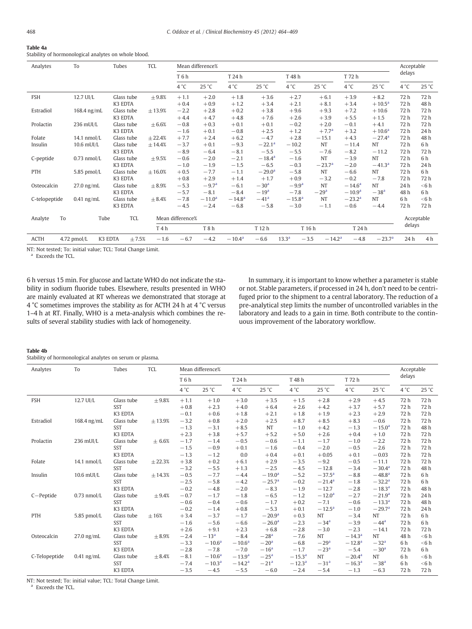<span id="page-4-0"></span>

| Table 4a                                             |  |
|------------------------------------------------------|--|
| Stability of hormonological analytes on whole blood. |  |

| Analytes      | To            | Tubes                 | TCL              |                  | Mean difference% |                 |                 |                             |            |                 |                 | Acceptable    |            |
|---------------|---------------|-----------------------|------------------|------------------|------------------|-----------------|-----------------|-----------------------------|------------|-----------------|-----------------|---------------|------------|
|               |               |                       |                  | T6h              |                  | T 24 h          |                 | T 48 h                      |            | T 72 h          |                 | delays        |            |
|               |               |                       |                  | 4 °C             | 25 °C            | 4 °C            | 25 °C           | $4^{\circ}$ C               | 25 °C      | $4^{\circ}$ C   | 25 °C           | $4^{\circ}$ C | 25 °C      |
| <b>FSH</b>    | 12.7 UI/L     | Glass tube            | $\pm 9.8%$       | $+1.1$           | $+2.0$           | $+1.8$          | $+3.6$          | $+2.7$                      | $+6.1$     | $+3.9$          | $+8.2$          | 72h           | 72 h       |
|               |               | K3 EDTA               |                  | $+0.4$           | $+0.9$           | $+1.2$          | $+3.4$          | $+2.1$                      | $+8.1$     | $+3.4$          | $+10.5^{\rm a}$ | 72 h          | 48 h       |
| Estradiol     | 168.4 ng/mL   | Glass tube            | ± 13.9%          | $-2.2$           | $+2.8$           | $+0.2$          | $+3.8$          | $+9.6$                      | $+9.3$     | $+7.2$          | $+10.6$         | 72 h          | 72 h       |
|               |               | K3 EDTA               |                  | $+4.4$           | $+4.7$           | $+4.8$          | $+7.6$          | $+2.6$                      | $+3.9$     | $+5.5$          | $+1.5$          | 72 h          | 72 h       |
| Prolactin     | 236 mUI/L     | Glass tube            | $\pm 6.6%$       | $-0.8$           | $+0.3$           | $+0.1$          | $+0.1$          | $-0.2$                      | $+2.0$     | $-0.1$          | $+4.1$          | 72 h          | 72 h       |
|               |               | K3 EDTA               |                  | $-1.6$           | $+0.1$           | $-0.8$          | $+2.5$          | $+1.2$                      | $+7.7^{a}$ | $+3.2$          | $+10.6^{\rm a}$ | 72 h          | 24 h       |
| Folate        | 14.1 nmol/L   | Glass tube            | ± 22.4%          | $+7.7$           | $+2.4$           | $+6.2$          | $-4.7$          | $+2.8$                      | $-15.1$    | $+4.3$          | $-27.4^{\rm a}$ | 72 h          | 48 h       |
| Insulin       | $10.6$ mUI/L  | Glass tube            | ± 14.4%          | $-3.7$           | $+0.1$           | $-9.3$          | $-22.1^a$       | $-10.2$                     | NT         | $-11.4$         | NT              | 72 h          | 6 h        |
|               |               | K3 EDTA               |                  | $-8.9$           | $-6.4$           | $-8.1$          | $-5.5$          | $-5.5$                      | $-7.6$     | $-8.2$          | $-11.2$         | 72 h          | 72 h       |
| C-peptide     | $0.73$ nmol/L | Glass tube            | $\pm 9.5%$       | $-0.6$           | $-2.0$           | $-2.1$          | $-18.4^{\rm a}$ | $-1.6$                      | NT         | $-3.9$          | <b>NT</b>       | 72h           | 6 h        |
|               |               | K3 EDTA               |                  | $-1.0$           | $-1.9$           | $-1.5$          | $-6.5$          | $-0.3$                      | $-23.7a$   | $-2.0$          | $-41.3a$        | 72h           | 24 h       |
| PTH           | 5.85 pmol/L   | Glass tube            | $\pm 16.0\%$     | $+0.5$           | $-7.7$           | $-1.1$          | $-29.0^{\rm a}$ | $-5.8$                      | <b>NT</b>  | $-6.6$          | NT              | 72 h          | 6 h        |
|               |               | K3 EDTA               |                  | $+0.8$           | $+2.9$           | $+1.4$          | $+1.7$          | $+0.9$                      | $-3.2$     | $-0.2$          | $-7.8$          | 72 h          | 72 h       |
| Osteocalcin   | $27.0$ ng/mL  | Glass tube            | $\pm 8.9%$       | $-5.3$           | $-9.7a$          | $-6.1$          | $-30a$          | $-9.9^{a}$                  | NT         | $-14.6^{\rm a}$ | <b>NT</b>       | 24 h          | $<$ 6 h    |
|               |               | K3 EDTA               |                  | $-5.7$           | $-8.1$           | $-8.4$          | $-19a$          | $-7.8$                      | $-29a$     | $-10.9a$        | $-38a$          | 48 h          | 6 h        |
| C-telopeptide | $0.41$ ng/mL  | Glass tube            | $\pm 8.4%$       | $-7.8$           | $-11.0a$         | $-14.8a$        | $-41a$          | $-15.8^{a}$                 | <b>NT</b>  | $-23.2^{\rm a}$ | <b>NT</b>       | 6h            | $<$ 6 h    |
|               |               | K3 EDTA               |                  | $-4.5$           | $-2.4$           | $-6.8$          | $-5.8$          | $-3.0$                      | $-1.1$     | $-0.6$          | $-4.4$          | 72 h          | 72 h       |
| To<br>Analyte | Tube          | TCL                   |                  | Mean difference% |                  |                 |                 |                             |            |                 |                 |               | Acceptable |
|               |               |                       | T <sub>4</sub> h |                  | T8h              |                 | T 12 h          |                             | T 16 h     | T 24 h          |                 | delays        |            |
| <b>ACTH</b>   | 4.72 pmol/L   | K3 EDTA<br>$\pm 7.5%$ | $-1.6$           | $-6.7$           | $-4.2$           | $-10.4^{\rm a}$ | $-6.6$          | 13.3 <sup>a</sup><br>$-3.5$ | $-14.2a$   | $-4.8$          | $-23.7^{\rm a}$ | 24 h          | 4 h        |

NT: Not tested; To: initial value; TCL: Total Change Limit.

<sup>a</sup> Exceeds the TCL.

6 h versus 15 min. For glucose and lactate WHO do not indicate the stability in sodium fluoride tubes. Elsewhere, results presented in WHO are mainly evaluated at RT whereas we demonstrated that storage at 4 °C sometimes improves the stability as for ACTH 24 h at 4 °C versus 1–4 h at RT. Finally, WHO is a meta-analysis which combines the results of several stability studies with lack of homogeneity.

In summary, it is important to know whether a parameter is stable or not. Stable parameters, if processed in 24 h, don't need to be centrifuged prior to the shipment to a central laboratory. The reduction of a pre-analytical step limits the number of uncontrolled variables in the laboratory and leads to a gain in time. Both contribute to the continuous improvement of the laboratory workflow.

#### Table 4b

Stability of hormonological analytes on serum or plasma.

| Analytes      | To            | Tubes      | <b>TCL</b>  |               | Mean difference% |                 |                 |                 |                 |                 |                    | Acceptable   |         |
|---------------|---------------|------------|-------------|---------------|------------------|-----------------|-----------------|-----------------|-----------------|-----------------|--------------------|--------------|---------|
|               |               |            |             | T6h           |                  | T 24 h          |                 | T 48 h          |                 | T 72 h          |                    | delays       |         |
|               |               |            |             | $4^{\circ}$ C | 25 °C            | $4^{\circ}$ C   | 25 °C           | $4^{\circ}$ C   | 25 °C           | $4^{\circ}$ C   | 25 °C              | $4^{\circ}C$ | 25 °C   |
| <b>FSH</b>    | 12.7 UI/L     | Glass tube | ±9.8%       | $+1.1$        | $+1.0$           | $+3.0$          | $+3.5$          | $+1.5$          | $+2.8$          | $+2.9$          | $+4.5$             | 72 h         | 72 h    |
|               |               | <b>SST</b> |             | $+0.8$        | $+2.3$           | $+4.0$          | $+6.4$          | $+2.6$          | $+4.2$          | $+3.7$          | $+5.7$             | 72 h         | 72h     |
|               |               | K3 EDTA    |             | $-0.1$        | $+0.6$           | $+1.8$          | $+2.1$          | $+1.8$          | $+1.9$          | $+2.3$          | $+2.9$             | 72 h         | 72 h    |
| Estradiol     | 168.4 ng/mL   | Glass tube | ± 13.9%     | $-3.2$        | $+0.8$           | $+2.0$          | $+2.5$          | $+8.7$          | $+8.5$          | $+8.3$          | $-0.6$             | 72 h         | 72h     |
|               |               | SST        |             | $-1.3$        | $-3.1$           | $+8.5$          | <b>NT</b>       | $-1.0$          | $+4.2$          | $-1.3$          | $-15.0^{\rm a}$    | 72h          | 48 h    |
|               |               | K3 EDTA    |             | $+2.3$        | $+3.8$           | $+5.7$          | $+5.2$          | $+5.0$          | $+2.6$          | $+0.4$          | $+1.0$             | 72 h         | 72h     |
| Prolactin     | 236 mUI/L     | Glass tube | $\pm 6.6%$  | $-1.7$        | $-1.4$           | $-0.5$          | $-0.6$          | $-1.1$          | $-1.7$          | $-1.0$          | $-2.2$             | 72h          | 72h     |
|               |               | <b>SST</b> |             | $-1.5$        | $-0.9$           | $+0.1$          | $-1.6$          | $-0.4$          | $-2.0$          | $-0.5$          | $-2.6$             | 72 h         | 72h     |
|               |               | K3 EDTA    |             | $-1.3$        | $-1.2$           | 0.0             | $+0.4$          | $+0.1$          | $+0.05$         | $+0.1$          | $-0.03$            | 72 h         | 72h     |
| Folate        | 14.1 nmol/L   | Glass tube | ± 22.3%     | $+3.8$        | $+0.2$           | $+6.1$          | $+2.9$          | $-3.5$          | $-9.2$          | $-0.5$          | $-11.1$            | 72h          | 72h     |
|               |               | <b>SST</b> |             | $-3.2$        | $-5.5$           | $+1.3$          | $-2.5$          | $-4.5$          | $-12.8$         | $-3.4$          | $-30.4a$           | 72h          | 48h     |
| Insulin       | $10.6$ mUI/L  | Glass tube | ± 14.3%     | $-0.5$        | $-7.7$           | $-4.4$          | $-19.0^{\rm a}$ | $-5.2$          | $-37.5^{\circ}$ | $-8.8$          | $-48.8^{a}$        | 72h          | 6 h     |
|               |               | <b>SST</b> |             | $-2.5$        | $-5.8$           | $-4.2$          | $-25.7a$        | $-0.2$          | $-21.4^{\rm a}$ | $-1.8$          | $-32.2a$           | 72 h         | 6 h     |
|               |               | K3 EDTA    |             | $-0.2$        | $-4.8$           | $-2.0$          | $-8.3$          | $-1.9$          | $-12.7$         | $-2.8$          | $-18.3a$           | 72 h         | 48 h    |
| $C-Peptide$   | $0.73$ nmol/L | Glass tube | ±9.4%       | $-0.7$        | $-1.7$           | $-1.8$          | $-6.5$          | $-1.2$          | $-12.0a$        | $-2.7$          | $-21.9a$           | 72h          | 24h     |
|               |               | <b>SST</b> |             | $-0.6$        | $-0.4$           | $-0.6$          | $-1.7$          | $+0.2$          | $-7.1$          | $-0.6$          | $-13.3a$           | 72 h         | 48 h    |
|               |               | K3 EDTA    |             | $-0.2$        | $-1.4$           | $+0.8$          | $-5.3$          | $+0.1$          | $-12.5^{\rm a}$ | $-1.0$          | $-29.7a$           | 72 h         | 24h     |
| PTH           | 5.85 pmol/L   | Glass tube | $\pm 16%$   | $+3.4$        | $-3.7$           | $-1.7$          | $-20.9^{\rm a}$ | $+0.3$          | <b>NT</b>       | $-3.4$          | <b>NT</b>          | 72 h         | 6 h     |
|               |               | <b>SST</b> |             | $-1.6$        | $-5.6$           | $-6.6$          | $-26.0^{\rm a}$ | $-2.3$          | $-34a$          | $-3.9$          | $-44$ <sup>a</sup> | 72 h         | 6 h     |
|               |               | K3 EDTA    |             | $+2.6$        | $+9.1$           | $+2.3$          | $+6.8$          | $-2.8$          | $-3.0$          | $-2.3$          | $-14.1$            | 72h          | 72h     |
| Osteocalcin   | $27.0$ ng/mL  | Glass tube | $\pm 8.9%$  | $-2.4$        | $-13a$           | $-8.4$          | $-28a$          | $-7.6$          | <b>NT</b>       | $-14.3a$        | <b>NT</b>          | 48 h         | $<$ 6 h |
|               |               | <b>SST</b> |             | $-3.3$        | $-10.6^{\rm a}$  | $-10.6^{\rm a}$ | $-20a$          | $-6.8$          | $-29a$          | $-12.8a$        | $-32a$             | 6 h          | $<$ 6 h |
|               |               | K3 EDTA    |             | $-2.8$        | $-7.8$           | $-7.0$          | $-16a$          | $-1.7$          | $-23a$          | $-5.4$          | $-30a$             | 72 h         | 6 h     |
| C-Telopeptide | $0.41$ ng/mL  | Glass tube | $\pm 8.4\%$ | $-8.1$        | $-10.6^{\rm a}$  | $-13.9^{\rm a}$ | $-25a$          | $-15.3^{a}$     | <b>NT</b>       | $-20.4^{\rm a}$ | <b>NT</b>          | 6h           | $<$ 6 h |
|               |               | <b>SST</b> |             | $-7.4$        | $-10.3a$         | $-14.2a$        | $-21a$          | $-12.3^{\rm a}$ | $-31a$          | $-16.3a$        | $-38a$             | 6h           | $<$ 6 h |
|               |               | K3 EDTA    |             | $-3.5$        | $-4.5$           | $-5.5$          | $-6.0$          | $-2.4$          | $-5.4$          | $-1.3$          | $-6.3$             | 72h          | 72h     |

NT: Not tested; To: initial value; TCL: Total Change Limit.

<sup>a</sup> Exceeds the TCL.